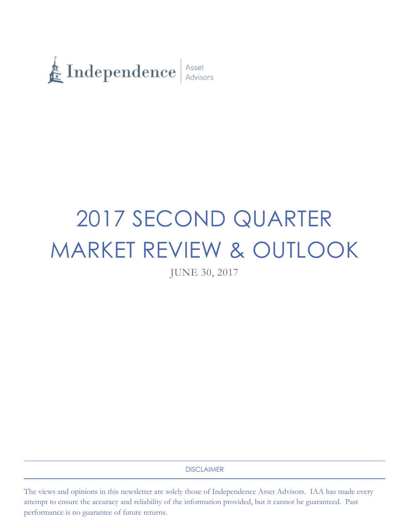

# 2017 SECOND QUARTER MARKET REVIEW & OUTLOOK

JUNE 30, 2017

DISCLAIMER

The views and opinions in this newsletter are solely those of Independence Asset Advisors. IAA has made every attempt to ensure the accuracy and reliability of the information provided, but it cannot be guaranteed. Past performance is no guarantee of future returns.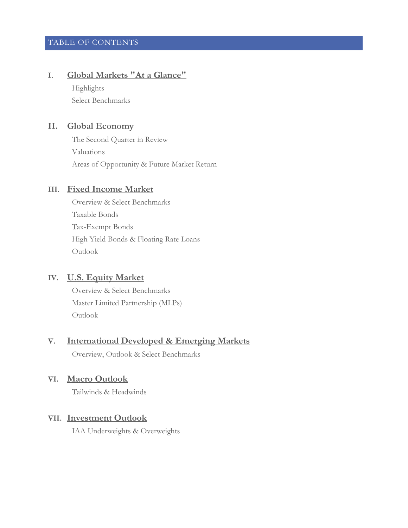# TABLE OF CONTENTS

# **I. Global Markets "At a Glance"**

Highlights Select Benchmarks

# **II. Global Economy**

The Second Quarter in Review Valuations Areas of Opportunity & Future Market Return

# **III. Fixed Income Market**

Overview & Select Benchmarks Taxable Bonds Tax-Exempt Bonds High Yield Bonds & Floating Rate Loans Outlook

# **IV. U.S. Equity Market**

Overview & Select Benchmarks Master Limited Partnership (MLPs) Outlook

# **V. International Developed & Emerging Markets**

Overview, Outlook & Select Benchmarks

## **VI. Macro Outlook**

Tailwinds & Headwinds

## **VII. Investment Outlook**

IAA Underweights & Overweights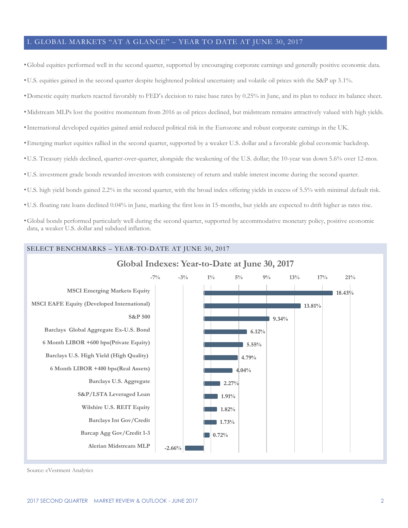#### I. GLOBAL MARKETS "AT A GLANCE" – YEAR TO DATE AT JUNE 30, 2017

•Global equities performed well in the second quarter, supported by encouraging corporate earnings and generally positive economic data.

•U.S. equities gained in the second quarter despite heightened political uncertainty and volatile oil prices with the S&P up 3.1%.

- •Domestic equity markets reacted favorably to FED's decision to raise base rates by 0.25% in June, and its plan to reduce its balance sheet.
- •Midstream MLPs lost the positive momentum from 2016 as oil prices declined, but midstream remains attractively valued with high yields.
- •International developed equities gained amid reduced political risk in the Eurozone and robust corporate earnings in the UK.
- •Emerging market equities rallied in the second quarter, supported by a weaker U.S. dollar and a favorable global economic backdrop.
- •U.S. Treasury yields declined, quarter-over-quarter, alongside the weakening of the U.S. dollar; the 10-year was down 5.6% over 12-mos.
- •U.S. investment grade bonds rewarded investors with consistency of return and stable interest income during the second quarter.
- •U.S. high yield bonds gained 2.2% in the second quarter, with the broad index offering yields in excess of 5.5% with minimal default risk.
- •U.S. floating rate loans declined 0.04% in June, marking the first loss in 15-months, but yields are expected to drift higher as rates rise.
- •Global bonds performed particularly well during the second quarter, supported by accommodative monetary policy, positive economic data, a weaker U.S. dollar and subdued inflation.



Source: eVestment Analytics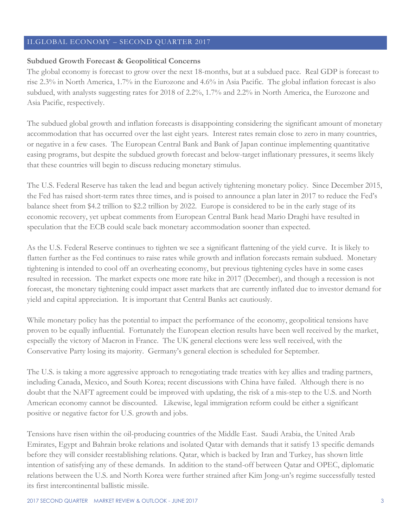## II.GLOBAL ECONOMY – SECOND QUARTER 2017

#### **Subdued Growth Forecast & Geopolitical Concerns**

The global economy is forecast to grow over the next 18-months, but at a subdued pace. Real GDP is forecast to rise 2.3% in North America, 1.7% in the Eurozone and 4.6% in Asia Pacific. The global inflation forecast is also subdued, with analysts suggesting rates for 2018 of 2.2%, 1.7% and 2.2% in North America, the Eurozone and Asia Pacific, respectively.

The subdued global growth and inflation forecasts is disappointing considering the significant amount of monetary accommodation that has occurred over the last eight years. Interest rates remain close to zero in many countries, or negative in a few cases. The European Central Bank and Bank of Japan continue implementing quantitative easing programs, but despite the subdued growth forecast and below-target inflationary pressures, it seems likely that these countries will begin to discuss reducing monetary stimulus.

The U.S. Federal Reserve has taken the lead and begun actively tightening monetary policy. Since December 2015, the Fed has raised short-term rates three times, and is poised to announce a plan later in 2017 to reduce the Fed's balance sheet from \$4.2 trillion to \$2.2 trillion by 2022. Europe is considered to be in the early stage of its economic recovery, yet upbeat comments from European Central Bank head Mario Draghi have resulted in speculation that the ECB could scale back monetary accommodation sooner than expected.

As the U.S. Federal Reserve continues to tighten we see a significant flattening of the yield curve. It is likely to flatten further as the Fed continues to raise rates while growth and inflation forecasts remain subdued. Monetary tightening is intended to cool off an overheating economy, but previous tightening cycles have in some cases resulted in recession. The market expects one more rate hike in 2017 (December), and though a recession is not forecast, the monetary tightening could impact asset markets that are currently inflated due to investor demand for yield and capital appreciation. It is important that Central Banks act cautiously.

While monetary policy has the potential to impact the performance of the economy, geopolitical tensions have proven to be equally influential. Fortunately the European election results have been well received by the market, especially the victory of Macron in France. The UK general elections were less well received, with the Conservative Party losing its majority. Germany's general election is scheduled for September.

The U.S. is taking a more aggressive approach to renegotiating trade treaties with key allies and trading partners, including Canada, Mexico, and South Korea; recent discussions with China have failed. Although there is no doubt that the NAFT agreement could be improved with updating, the risk of a mis-step to the U.S. and North American economy cannot be discounted. Likewise, legal immigration reform could be either a significant positive or negative factor for U.S. growth and jobs.

Tensions have risen within the oil-producing countries of the Middle East. Saudi Arabia, the United Arab Emirates, Egypt and Bahrain broke relations and isolated Qatar with demands that it satisfy 13 specific demands before they will consider reestablishing relations. Qatar, which is backed by Iran and Turkey, has shown little intention of satisfying any of these demands. In addition to the stand-off between Qatar and OPEC, diplomatic relations between the U.S. and North Korea were further strained after Kim Jong-un's regime successfully tested its first intercontinental ballistic missile.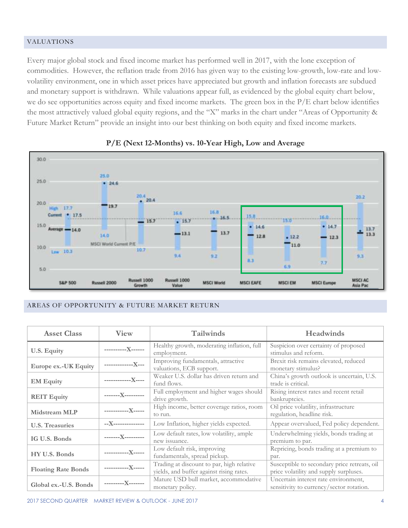#### VALUATIONS

Every major global stock and fixed income market has performed well in 2017, with the lone exception of commodities. However, the reflation trade from 2016 has given way to the existing low-growth, low-rate and lowvolatility environment, one in which asset prices have appreciated but growth and inflation forecasts are subdued and monetary support is withdrawn. While valuations appear full, as evidenced by the global equity chart below, we do see opportunities across equity and fixed income markets. The green box in the P/E chart below identifies the most attractively valued global equity regions, and the "X" marks in the chart under "Areas of Opportunity & Future Market Return" provide an insight into our best thinking on both equity and fixed income markets.



## **P/E (Next 12-Months) vs. 10-Year High, Low and Average**

#### AREAS OF OPPORTUNITY & FUTURE MARKET RETURN

| <b>Asset Class</b>         | <b>View</b>        | <b>Tailwinds</b>                                                                      | Headwinds                                                                              |  |  |
|----------------------------|--------------------|---------------------------------------------------------------------------------------|----------------------------------------------------------------------------------------|--|--|
| U.S. Equity                | -----------X------ | Healthy growth, moderating inflation, full<br>employment.                             | Suspicion over certainty of proposed<br>stimulus and reform.                           |  |  |
| Europe ex.-UK Equity       | -------------X---  | Improving fundamentals, attractive<br>valuations, ECB support.                        | Brexit risk remains elevated, reduced<br>monetary stimulus?                            |  |  |
| <b>EM Equity</b>           | ------------X----  | Weaker U.S. dollar has driven return and<br>fund flows.                               | China's growth outlook is uncertain, U.S.<br>trade is critical.                        |  |  |
| <b>REIT Equity</b>         | -------X---------  | Full employment and higher wages should<br>drive growth.                              | Rising interest rates and recent retail<br>bankruptcies.                               |  |  |
| <b>Midstream MLP</b>       | -----------X-----  | High income, better coverage ratios, room<br>to run.                                  | Oil price volatility, infrastructure<br>regulation, headline risk.                     |  |  |
| <b>U.S. Treasuries</b>     | --X--------------- | Low Inflation, higher yields expected.                                                | Appear overvalued, Fed policy dependent.                                               |  |  |
| IG U.S. Bonds              | -------X---------  | Low default rates, low volatility, ample<br>new issuance.                             | Underwhelming yields, bonds trading at<br>premium to par.                              |  |  |
| HY U.S. Bonds              | ------------X----- | Low default risk, improving<br>fundamentals, spread pickup.                           | Repricing, bonds trading at a premium to<br>par.                                       |  |  |
| <b>Floating Rate Bonds</b> | -----------X-----  | Trading at discount to par, high relative<br>yields, and buffer against rising rates. | Susceptible to secondary price retreats, oil<br>price volatility and supply surpluses. |  |  |
| Global ex.-U.S. Bonds      | ----------X------- | Mature USD bull market, accommodative<br>monetary policy.                             | Uncertain interest rate environment,<br>sensitivity to currency/sector rotation.       |  |  |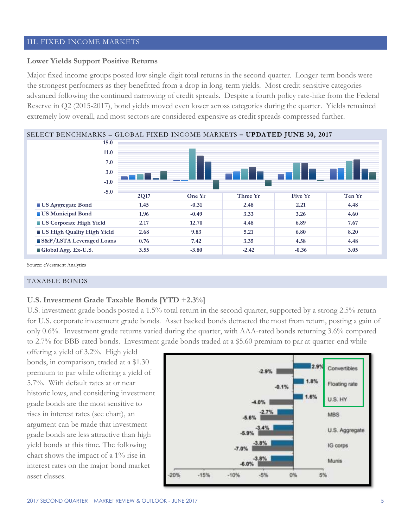#### III. FIXED INCOME MARKETS

## **Lower Yields Support Positive Returns**

Major fixed income groups posted low single-digit total returns in the second quarter. Longer-term bonds were the strongest performers as they benefitted from a drop in long-term yields. Most credit-sensitive categories advanced following the continued narrowing of credit spreads. Despite a fourth policy rate-hike from the Federal Reserve in Q2 (2015-2017), bond yields moved even lower across categories during the quarter. Yields remained extremely low overall, and most sectors are considered expensive as credit spreads compressed further.

![](_page_5_Figure_3.jpeg)

Source: eVestment Analytics

#### TAXABLE BONDS

#### **U.S. Investment Grade Taxable Bonds [YTD +2.3%]**

U.S. investment grade bonds posted a 1.5% total return in the second quarter, supported by a strong 2.5% return for U.S. corporate investment grade bonds. Asset backed bonds detracted the most from return, posting a gain of only 0.6%. Investment grade returns varied during the quarter, with AAA-rated bonds returning 3.6% compared to 2.7% for BBB-rated bonds. Investment grade bonds traded at a \$5.60 premium to par at quarter-end while

offering a yield of 3.2%. High yield bonds, in comparison, traded at a \$1.30 premium to par while offering a yield of 5.7%. With default rates at or near historic lows, and considering investment grade bonds are the most sensitive to rises in interest rates (see chart), an argument can be made that investment grade bonds are less attractive than high yield bonds at this time. The following chart shows the impact of a 1% rise in interest rates on the major bond market asset classes.

![](_page_5_Figure_9.jpeg)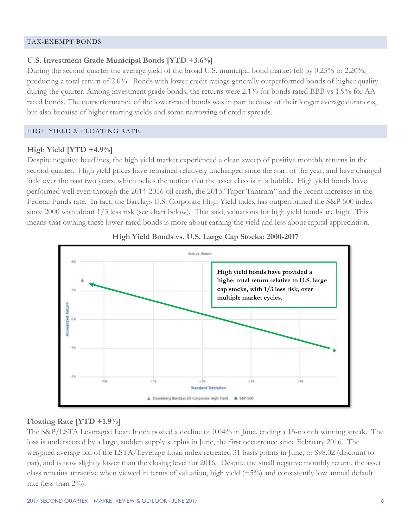#### TAX-EXEMPT BONDS

# **U.S. Investment Grade Municipal Bonds [YTD +3.6%]**

During the second quarter the average yield of the broad U.S. municipal bond market fell by 0.25% to 2.20%, producing a total return of 2.0%. Bonds with lower credit ratings generally outperformed bonds of higher quality during the quarter. Among investment grade bonds, the returns were 2.1% for bonds rated BBB vs 1.9% for AA rated bonds. The outperformance of the lower-rated bonds was in part because of their longer average durations, but also because of higher starting yields and some narrowing of credit spreads.

# HIGH YIELD & FLOATING RATE

# **High Yield [YTD +4.9%]**

Despite negative headlines, the high yield market experienced a clean sweep of positive monthly returns in the second quarter. High yield prices have remained relatively unchanged since the start of the year, and have changed little over the past two years, which belies the notion that the asset class is in a bubble. High yield bonds have performed well even through the 2014-2016 oil crash, the 2013 'Taper Tantrum" and the recent increases in the Federal Funds rate. In fact, the Barclays U.S. Corporate High Yield index has outperformed the S&P 500 index since 2000 with about 1/3 less risk (see chart below). That said, valuations for high yield bonds are high. This means that owning these lower-rated bonds is more about earning the yield and less about capital appreciation.

![](_page_6_Figure_6.jpeg)

## **High Yield Bonds vs. U.S. Large Cap Stocks: 2000-2017**

## **Floating Rate [YTD +1.9%]**

The S&P/LSTA Leveraged Loan Index posted a decline of 0.04% in June, ending a 15-month winning streak. The loss is underscored by a large, sudden supply surplus in June, the first occurrence since February 2016. The weighted average bid of the LSTA/Leverage Loan index retreated 31 basis points in June, to \$98.02 (discount to par), and is now slightly lower than the closing level for 2016. Despite the small negative monthly return, the asset class remains attractive when viewed in terms of valuation, high yield (+5%) and consistently low annual default rate (less than 2%).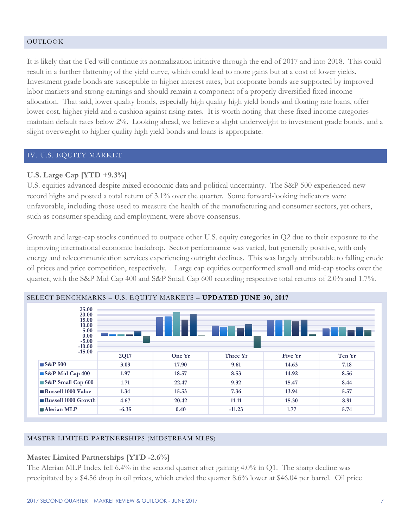#### OUTLOOK

It is likely that the Fed will continue its normalization initiative through the end of 2017 and into 2018. This could result in a further flattening of the yield curve, which could lead to more gains but at a cost of lower yields. Investment grade bonds are susceptible to higher interest rates, but corporate bonds are supported by improved labor markets and strong earnings and should remain a component of a properly diversified fixed income allocation. That said, lower quality bonds, especially high quality high yield bonds and floating rate loans, offer lower cost, higher yield and a cushion against rising rates. It is worth noting that these fixed income categories maintain default rates below 2%. Looking ahead, we believe a slight underweight to investment grade bonds, and a slight overweight to higher quality high yield bonds and loans is appropriate.

## IV. U.S. EQUITY MARKET

## **U.S. Large Cap [YTD +9.3%]**

U.S. equities advanced despite mixed economic data and political uncertainty. The S&P 500 experienced new record highs and posted a total return of 3.1% over the quarter. Some forward-looking indicators were unfavorable, including those used to measure the health of the manufacturing and consumer sectors, yet others, such as consumer spending and employment, were above consensus.

Growth and large-cap stocks continued to outpace other U.S. equity categories in Q2 due to their exposure to the improving international economic backdrop. Sector performance was varied, but generally positive, with only energy and telecommunication services experiencing outright declines. This was largely attributable to falling crude oil prices and price competition, respectively. Large cap equities outperformed small and mid-cap stocks over the quarter, with the S&P Mid Cap 400 and S&P Small Cap 600 recording respective total returns of 2.0% and 1.7%.

![](_page_7_Figure_6.jpeg)

#### SELECT BENCHMARKS – U.S. EQUITY MARKETS – **UPDATED JUNE 30, 2017**

#### MASTER LIMITED PARTNERSHIPS (MIDSTREAM MLPS)

#### **Master Limited Partnerships [YTD -2.6%]**

The Alerian MLP Index fell 6.4% in the second quarter after gaining 4.0% in Q1. The sharp decline was precipitated by a \$4.56 drop in oil prices, which ended the quarter 8.6% lower at \$46.04 per barrel. Oil price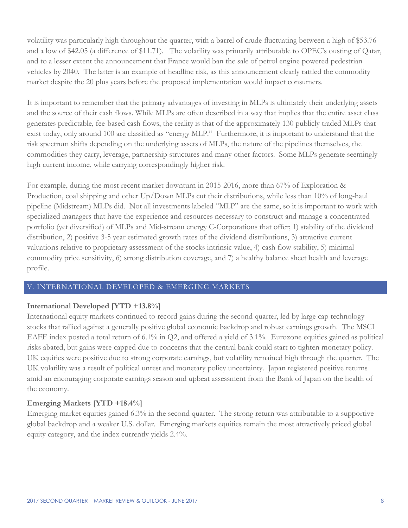volatility was particularly high throughout the quarter, with a barrel of crude fluctuating between a high of \$53.76 and a low of \$42.05 (a difference of \$11.71). The volatility was primarily attributable to OPEC's ousting of Qatar, and to a lesser extent the announcement that France would ban the sale of petrol engine powered pedestrian vehicles by 2040. The latter is an example of headline risk, as this announcement clearly rattled the commodity market despite the 20 plus years before the proposed implementation would impact consumers.

It is important to remember that the primary advantages of investing in MLPs is ultimately their underlying assets and the source of their cash flows. While MLPs are often described in a way that implies that the entire asset class generates predictable, fee-based cash flows, the reality is that of the approximately 130 publicly traded MLPs that exist today, only around 100 are classified as "energy MLP." Furthermore, it is important to understand that the risk spectrum shifts depending on the underlying assets of MLPs, the nature of the pipelines themselves, the commodities they carry, leverage, partnership structures and many other factors. Some MLPs generate seemingly high current income, while carrying correspondingly higher risk.

For example, during the most recent market downturn in 2015-2016, more than 67% of Exploration & Production, coal shipping and other Up/Down MLPs cut their distributions, while less than 10% of long-haul pipeline (Midstream) MLPs did. Not all investments labeled "MLP" are the same, so it is important to work with specialized managers that have the experience and resources necessary to construct and manage a concentrated portfolio (yet diversified) of MLPs and Mid-stream energy C-Corporations that offer; 1) stability of the dividend distribution, 2) positive 3-5 year estimated growth rates of the dividend distributions, 3) attractive current valuations relative to proprietary assessment of the stocks intrinsic value, 4) cash flow stability, 5) minimal commodity price sensitivity, 6) strong distribution coverage, and 7) a healthy balance sheet health and leverage profile.

## V. INTERNATIONAL DEVELOPED & EMERGING MARKETS

# **International Developed [YTD +13.8%]**

International equity markets continued to record gains during the second quarter, led by large cap technology stocks that rallied against a generally positive global economic backdrop and robust earnings growth. The MSCI EAFE index posted a total return of 6.1% in Q2, and offered a yield of 3.1%. Eurozone equities gained as political risks abated, but gains were capped due to concerns that the central bank could start to tighten monetary policy. UK equities were positive due to strong corporate earnings, but volatility remained high through the quarter. The UK volatility was a result of political unrest and monetary policy uncertainty. Japan registered positive returns amid an encouraging corporate earnings season and upbeat assessment from the Bank of Japan on the health of the economy.

# **Emerging Markets [YTD +18.4%]**

Emerging market equities gained 6.3% in the second quarter. The strong return was attributable to a supportive global backdrop and a weaker U.S. dollar. Emerging markets equities remain the most attractively priced global equity category, and the index currently yields 2.4%.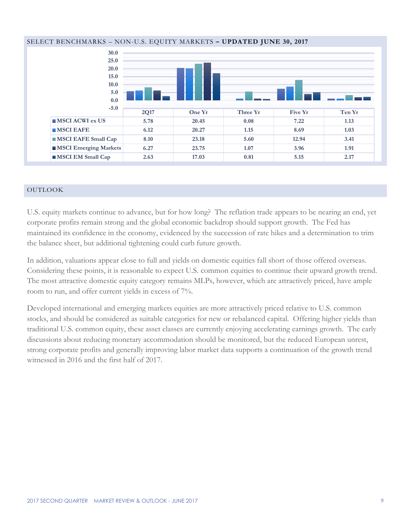![](_page_9_Figure_0.jpeg)

#### SELECT BENCHMARKS – NON-U.S. EQUITY MARKETS **– UPDATED JUNE 30, 2017**

#### OUTLOOK

U.S. equity markets continue to advance, but for how long? The reflation trade appears to be nearing an end, yet corporate profits remain strong and the global economic backdrop should support growth. The Fed has maintained its confidence in the economy, evidenced by the succession of rate hikes and a determination to trim the balance sheet, but additional tightening could curb future growth.

In addition, valuations appear close to full and yields on domestic equities fall short of those offered overseas. Considering these points, it is reasonable to expect U.S. common equities to continue their upward growth trend. The most attractive domestic equity category remains MLPs, however, which are attractively priced, have ample room to run, and offer current yields in excess of 7%.

Developed international and emerging markets equities are more attractively priced relative to U.S. common stocks, and should be considered as suitable categories for new or rebalanced capital. Offering higher yields than traditional U.S. common equity, these asset classes are currently enjoying accelerating earnings growth. The early discussions about reducing monetary accommodation should be monitored, but the reduced European unrest, strong corporate profits and generally improving labor market data supports a continuation of the growth trend witnessed in 2016 and the first half of 2017.